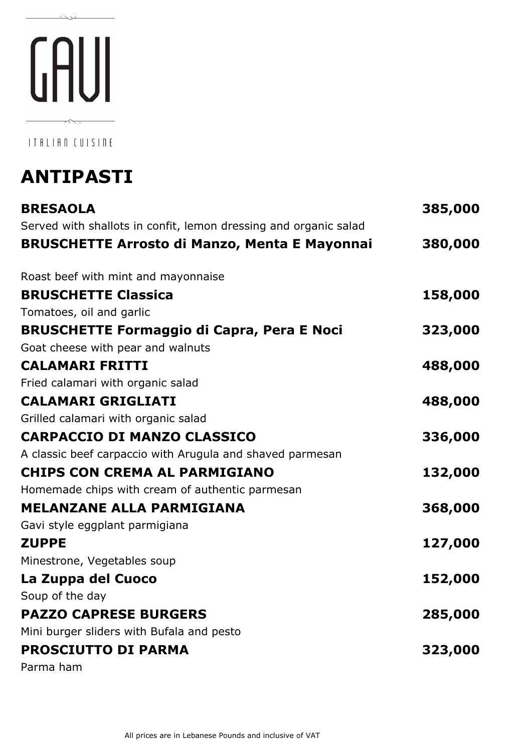# GAUI  $\sim$

 $\infty$ 

ITALIAN CUISINE

## **ANTIPASTI**

| <b>BRESAOLA</b>                                                  | 385,000 |
|------------------------------------------------------------------|---------|
| Served with shallots in confit, lemon dressing and organic salad |         |
| <b>BRUSCHETTE Arrosto di Manzo, Menta E Mayonnai</b>             | 380,000 |
| Roast beef with mint and mayonnaise                              |         |
| <b>BRUSCHETTE Classica</b>                                       | 158,000 |
| Tomatoes, oil and garlic                                         |         |
| <b>BRUSCHETTE Formaggio di Capra, Pera E Noci</b>                | 323,000 |
| Goat cheese with pear and walnuts                                |         |
| <b>CALAMARI FRITTI</b>                                           | 488,000 |
| Fried calamari with organic salad                                |         |
| <b>CALAMARI GRIGLIATI</b>                                        | 488,000 |
| Grilled calamari with organic salad                              |         |
| <b>CARPACCIO DI MANZO CLASSICO</b>                               | 336,000 |
| A classic beef carpaccio with Arugula and shaved parmesan        |         |
| <b>CHIPS CON CREMA AL PARMIGIANO</b>                             | 132,000 |
| Homemade chips with cream of authentic parmesan                  |         |
| <b>MELANZANE ALLA PARMIGIANA</b>                                 | 368,000 |
| Gavi style eggplant parmigiana                                   |         |
| <b>ZUPPE</b>                                                     | 127,000 |
| Minestrone, Vegetables soup                                      |         |
| La Zuppa del Cuoco                                               | 152,000 |
| Soup of the day                                                  |         |
| <b>PAZZO CAPRESE BURGERS</b>                                     | 285,000 |
| Mini burger sliders with Bufala and pesto                        |         |
| <b>PROSCIUTTO DI PARMA</b>                                       | 323,000 |
| Parma ham                                                        |         |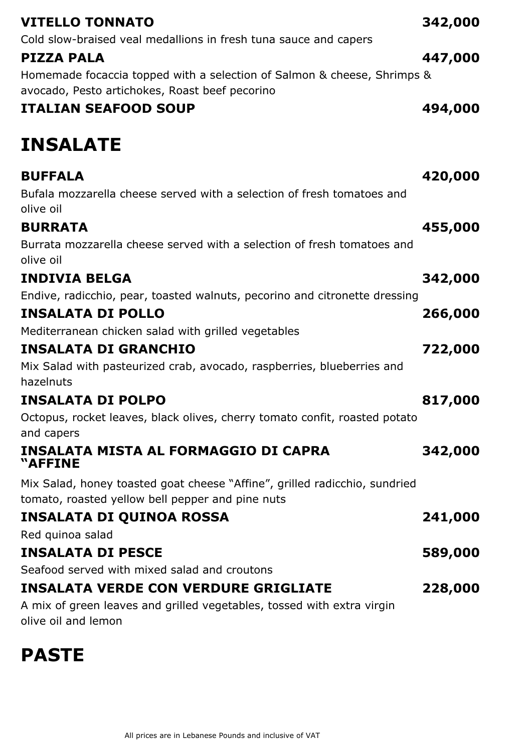| <b>VITELLO TONNATO</b><br>Cold slow-braised veal medallions in fresh tuna sauce and capers                                              | 342,000 |
|-----------------------------------------------------------------------------------------------------------------------------------------|---------|
| PIZZA PALA<br>Homemade focaccia topped with a selection of Salmon & cheese, Shrimps &<br>avocado, Pesto artichokes, Roast beef pecorino | 447,000 |
| <b>ITALIAN SEAFOOD SOUP</b>                                                                                                             | 494,000 |
| <b>INSALATE</b>                                                                                                                         |         |
| <b>BUFFALA</b>                                                                                                                          | 420,000 |
| Bufala mozzarella cheese served with a selection of fresh tomatoes and<br>olive oil                                                     |         |
| <b>BURRATA</b>                                                                                                                          | 455,000 |
| Burrata mozzarella cheese served with a selection of fresh tomatoes and<br>olive oil                                                    |         |
| <b>INDIVIA BELGA</b>                                                                                                                    | 342,000 |
| Endive, radicchio, pear, toasted walnuts, pecorino and citronette dressing                                                              |         |
| <b>INSALATA DI POLLO</b>                                                                                                                | 266,000 |
| Mediterranean chicken salad with grilled vegetables                                                                                     |         |
| <b>INSALATA DI GRANCHIO</b>                                                                                                             | 722,000 |
| Mix Salad with pasteurized crab, avocado, raspberries, blueberries and<br>hazelnuts                                                     |         |
| <b>INSALATA DI POLPO</b>                                                                                                                | 817,000 |
| Octopus, rocket leaves, black olives, cherry tomato confit, roasted potato<br>and capers                                                |         |
| <b>INSALATA MISTA AL FORMAGGIO DI CAPRA</b><br>"AFFINE                                                                                  | 342,000 |
| Mix Salad, honey toasted goat cheese "Affine", grilled radicchio, sundried<br>tomato, roasted yellow bell pepper and pine nuts          |         |
| <b>INSALATA DI QUINOA ROSSA</b>                                                                                                         | 241,000 |
| Red quinoa salad                                                                                                                        |         |
| <b>INSALATA DI PESCE</b>                                                                                                                | 589,000 |
| Seafood served with mixed salad and croutons                                                                                            |         |
| <b>INSALATA VERDE CON VERDURE GRIGLIATE</b>                                                                                             | 228,000 |
| A mix of green leaves and grilled vegetables, tossed with extra virgin<br>olive oil and lemon                                           |         |

### **PASTE**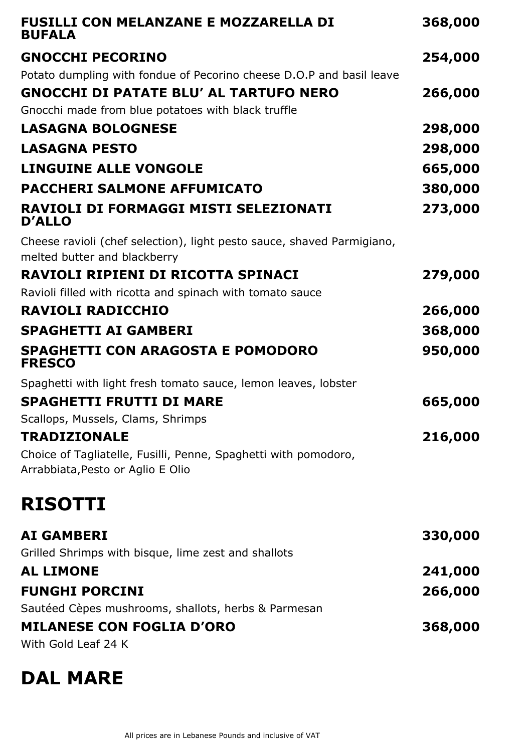| <b>FUSILLI CON MELANZANE E MOZZARELLA DI</b><br><b>BUFALA</b>                                          | 368,000 |
|--------------------------------------------------------------------------------------------------------|---------|
| <b>GNOCCHI PECORINO</b>                                                                                | 254,000 |
| Potato dumpling with fondue of Pecorino cheese D.O.P and basil leave                                   |         |
| <b>GNOCCHI DI PATATE BLU' AL TARTUFO NERO</b>                                                          | 266,000 |
| Gnocchi made from blue potatoes with black truffle                                                     |         |
| <b>LASAGNA BOLOGNESE</b>                                                                               | 298,000 |
| <b>LASAGNA PESTO</b>                                                                                   | 298,000 |
| <b>LINGUINE ALLE VONGOLE</b>                                                                           | 665,000 |
| <b>PACCHERI SALMONE AFFUMICATO</b>                                                                     | 380,000 |
| <b>RAVIOLI DI FORMAGGI MISTI SELEZIONATI</b><br><b>D'ALLO</b>                                          | 273,000 |
| Cheese ravioli (chef selection), light pesto sauce, shaved Parmigiano,<br>melted butter and blackberry |         |
| RAVIOLI RIPIENI DI RICOTTA SPINACI                                                                     | 279,000 |
| Ravioli filled with ricotta and spinach with tomato sauce                                              |         |
| <b>RAVIOLI RADICCHIO</b>                                                                               | 266,000 |
| <b>SPAGHETTI AI GAMBERI</b>                                                                            | 368,000 |
| <b>SPAGHETTI CON ARAGOSTA E POMODORO</b><br><b>FRESCO</b>                                              | 950,000 |
| Spaghetti with light fresh tomato sauce, lemon leaves, lobster                                         |         |
| <b>SPAGHETTI FRUTTI DI MARE</b>                                                                        | 665,000 |
| Scallops, Mussels, Clams, Shrimps                                                                      |         |
| <b>TRADIZIONALE</b>                                                                                    | 216,000 |
| Choice of Tagliatelle, Fusilli, Penne, Spaghetti with pomodoro,<br>Arrabbiata, Pesto or Aglio E Olio   |         |
| <b>RISOTTI</b>                                                                                         |         |
| <b>AI GAMBERI</b>                                                                                      | 330,000 |
| Grilled Shrimps with bisque, lime zest and shallots                                                    |         |
| <b>AL LIMONE</b>                                                                                       | 241,000 |
| <b>FUNGHI PORCINI</b>                                                                                  | 266,000 |
| Sautéed Cèpes mushrooms, shallots, herbs & Parmesan                                                    |         |
| <b>MILANESE CON FOGLIA D'ORO</b>                                                                       | 368,000 |
| With Gold Leaf 24 K                                                                                    |         |

#### **DAL MARE**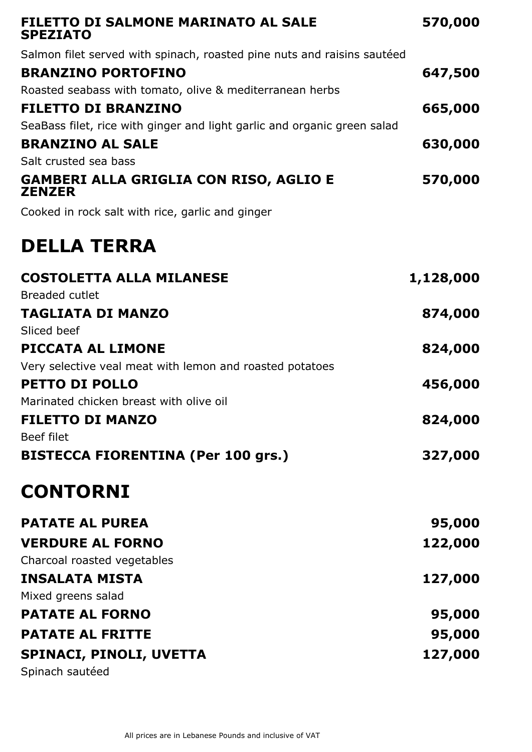| FILETTO DI SALMONE MARINATO AL SALE<br><b>SPEZIATO</b>                   | 570,000   |
|--------------------------------------------------------------------------|-----------|
| Salmon filet served with spinach, roasted pine nuts and raisins sautéed  |           |
| <b>BRANZINO PORTOFINO</b>                                                | 647,500   |
| Roasted seabass with tomato, olive & mediterranean herbs                 |           |
| <b>FILETTO DI BRANZINO</b>                                               | 665,000   |
| SeaBass filet, rice with ginger and light garlic and organic green salad |           |
| <b>BRANZINO AL SALE</b>                                                  | 630,000   |
| Salt crusted sea bass                                                    |           |
| GAMBERI ALLA GRIGLIA CON RISO, AGLIO E<br><b>ZENZER</b>                  | 570,000   |
| Cooked in rock salt with rice, garlic and ginger                         |           |
| <b>DELLA TERRA</b>                                                       |           |
| <b>COSTOLETTA ALLA MILANESE</b>                                          | 1,128,000 |
| <b>Breaded cutlet</b>                                                    |           |
| <b>TAGLIATA DI MANZO</b>                                                 | 874,000   |
| Sliced beef                                                              |           |
| PICCATA AL LIMONE                                                        | 824,000   |
| Very selective veal meat with lemon and roasted potatoes                 |           |
| <b>PETTO DI POLLO</b>                                                    | 456,000   |
| Marinated chicken breast with olive oil                                  |           |
| <b>FILETTO DI MANZO</b>                                                  | 824,000   |
| Beef filet                                                               |           |
| <b>BISTECCA FIORENTINA (Per 100 grs.)</b>                                | 327,000   |
| <b>CONTORNI</b>                                                          |           |
| <b>PATATE AL PUREA</b>                                                   | 95,000    |
| <b>VERDURE AL FORNO</b>                                                  | 122,000   |
| Charcoal roasted vegetables                                              |           |
| <b>INSALATA MISTA</b>                                                    | 127,000   |
| Mixed greens salad                                                       |           |
| <b>PATATE AL FORNO</b>                                                   | 95,000    |
| <b>PATATE AL FRITTE</b>                                                  | 95,000    |
| SPINACI, PINOLI, UVETTA                                                  | 127,000   |
| Spinach sautéed                                                          |           |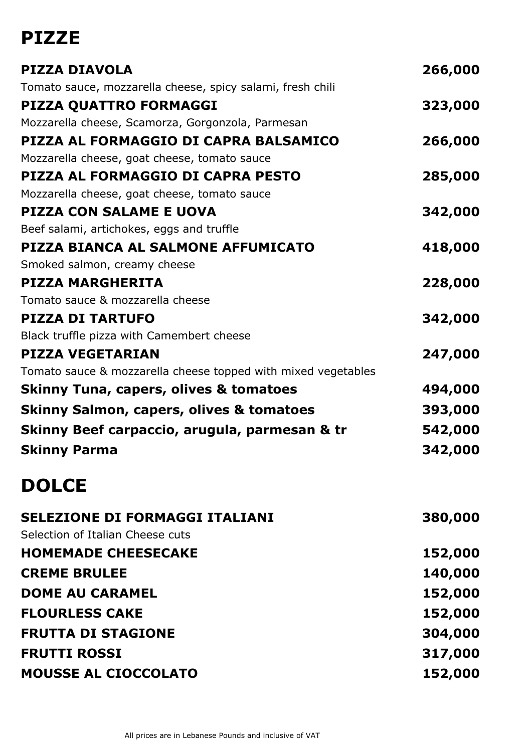## **PIZZE**

| <b>PIZZA DIAVOLA</b>                                          | 266,000 |
|---------------------------------------------------------------|---------|
| Tomato sauce, mozzarella cheese, spicy salami, fresh chili    |         |
| PIZZA QUATTRO FORMAGGI                                        | 323,000 |
| Mozzarella cheese, Scamorza, Gorgonzola, Parmesan             |         |
| PIZZA AL FORMAGGIO DI CAPRA BALSAMICO                         | 266,000 |
| Mozzarella cheese, goat cheese, tomato sauce                  |         |
| PIZZA AL FORMAGGIO DI CAPRA PESTO                             | 285,000 |
| Mozzarella cheese, goat cheese, tomato sauce                  |         |
| <b>PIZZA CON SALAME E UOVA</b>                                | 342,000 |
| Beef salami, artichokes, eggs and truffle                     |         |
| PIZZA BIANCA AL SALMONE AFFUMICATO                            | 418,000 |
| Smoked salmon, creamy cheese                                  |         |
| <b>PIZZA MARGHERITA</b>                                       | 228,000 |
| Tomato sauce & mozzarella cheese                              |         |
| <b>PIZZA DI TARTUFO</b>                                       | 342,000 |
| Black truffle pizza with Camembert cheese                     |         |
| <b>PIZZA VEGETARIAN</b>                                       | 247,000 |
| Tomato sauce & mozzarella cheese topped with mixed vegetables |         |
| <b>Skinny Tuna, capers, olives &amp; tomatoes</b>             | 494,000 |
| <b>Skinny Salmon, capers, olives &amp; tomatoes</b>           | 393,000 |
| Skinny Beef carpaccio, arugula, parmesan & tr                 | 542,000 |
| <b>Skinny Parma</b>                                           | 342,000 |
|                                                               |         |

#### **DOLCE**

| 380,000 |
|---------|
|         |
| 152,000 |
| 140,000 |
| 152,000 |
| 152,000 |
| 304,000 |
| 317,000 |
| 152,000 |
|         |